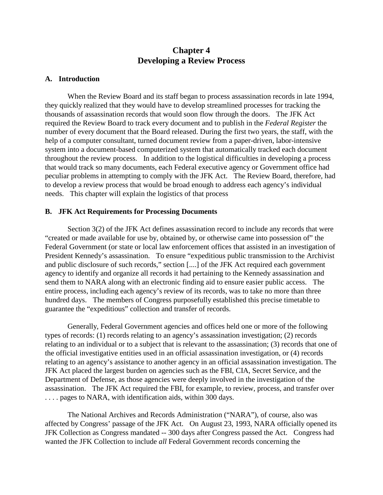# **Chapter 4 Developing a Review Process**

# **A. Introduction**

When the Review Board and its staff began to process assassination records in late 1994, they quickly realized that they would have to develop streamlined processes for tracking the thousands of assassination records that would soon flow through the doors. The JFK Act required the Review Board to track every document and to publish in the *Federal Register* the number of every document that the Board released. During the first two years, the staff, with the help of a computer consultant, turned document review from a paper-driven, labor-intensive system into a document-based computerized system that automatically tracked each document throughout the review process. In addition to the logistical difficulties in developing a process that would track so many documents, each Federal executive agency or Government office had peculiar problems in attempting to comply with the JFK Act. The Review Board, therefore, had to develop a review process that would be broad enough to address each agency's individual needs. This chapter will explain the logistics of that process

### **B. JFK Act Requirements for Processing Documents**

Section 3(2) of the JFK Act defines assassination record to include any records that were "created or made available for use by, obtained by, or otherwise came into possession of" the Federal Government (or state or local law enforcement offices that assisted in an investigation of President Kennedy's assassination. To ensure "expeditious public transmission to the Archivist and public disclosure of such records," section [....] of the JFK Act required each government agency to identify and organize all records it had pertaining to the Kennedy assassination and send them to NARA along with an electronic finding aid to ensure easier public access. The entire process, including each agency's review of its records, was to take no more than three hundred days. The members of Congress purposefully established this precise timetable to guarantee the "expeditious" collection and transfer of records.

Generally, Federal Government agencies and offices held one or more of the following types of records: (1) records relating to an agency's assassination investigation; (2) records relating to an individual or to a subject that is relevant to the assassination; (3) records that one of the official investigative entities used in an official assassination investigation, or (4) records relating to an agency's assistance to another agency in an official assassination investigation. The JFK Act placed the largest burden on agencies such as the FBI, CIA, Secret Service, and the Department of Defense, as those agencies were deeply involved in the investigation of the assassination. The JFK Act required the FBI, for example, to review, process, and transfer over . . . . pages to NARA, with identification aids, within 300 days.

The National Archives and Records Administration ("NARA"), of course, also was affected by Congress' passage of the JFK Act. On August 23, 1993, NARA officially opened its JFK Collection as Congress mandated -- 300 days after Congress passed the Act. Congress had wanted the JFK Collection to include *all* Federal Government records concerning the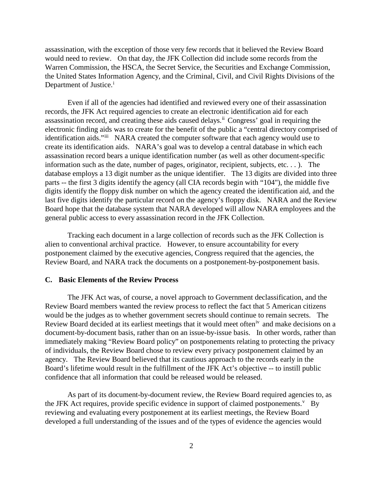assassination, with the exception of those very few records that it believed the Review Board would need to review. On that day, the JFK Collection did include some records from the Warren Commission, the HSCA, the Secret Service, the Securities and Exchange Commission, the United States Information Agency, and the Criminal, Civil, and Civil Rights Divisions of the Department of Just[i](#page-12-0)ce.<sup>i</sup>

Even if all of the agencies had identified and reviewed every one of their assassination records, the JFK Act required agencies to create an electronic identification aid for each assassination record, and creating these aids caused delays.<sup>[ii](#page-12-1)</sup> Congress' goal in requiring the electronic finding aids was to create for the benefit of the public a "central directory comprised of identification aids."[iii](#page-12-2) NARA created the computer software that each agency would use to create its identification aids. NARA's goal was to develop a central database in which each assassination record bears a unique identification number (as well as other document-specific information such as the date, number of pages, originator, recipient, subjects, etc. . . ). The database employs a 13 digit number as the unique identifier. The 13 digits are divided into three parts -- the first 3 digits identify the agency (all CIA records begin with "104"), the middle five digits identify the floppy disk number on which the agency created the identification aid, and the last five digits identify the particular record on the agency's floppy disk. NARA and the Review Board hope that the database system that NARA developed will allow NARA employees and the general public access to every assassination record in the JFK Collection.

Tracking each document in a large collection of records such as the JFK Collection is alien to conventional archival practice. However, to ensure accountability for every postponement claimed by the executive agencies, Congress required that the agencies, the Review Board, and NARA track the documents on a postponement-by-postponement basis.

# **C. Basic Elements of the Review Process**

The JFK Act was, of course, a novel approach to Government declassification, and the Review Board members wanted the review process to reflect the fact that 5 American citizens would be the judges as to whether government secrets should continue to remain secrets. The Review Board decided at its earliest meetings that it would meet often<sup>[iv](#page-12-3)</sup> and make decisions on a document-by-document basis, rather than on an issue-by-issue basis. In other words, rather than immediately making "Review Board policy" on postponements relating to protecting the privacy of individuals, the Review Board chose to review every privacy postponement claimed by an agency. The Review Board believed that its cautious approach to the records early in the Board's lifetime would result in the fulfillment of the JFK Act's objective -- to instill public confidence that all information that could be released would be released.

As part of its document-by-document review, the Review Board required agencies to, as the JFK Act requires, pro[v](#page-12-4)ide specific evidence in support of claimed postponements.<sup>v</sup> By reviewing and evaluating every postponement at its earliest meetings, the Review Board developed a full understanding of the issues and of the types of evidence the agencies would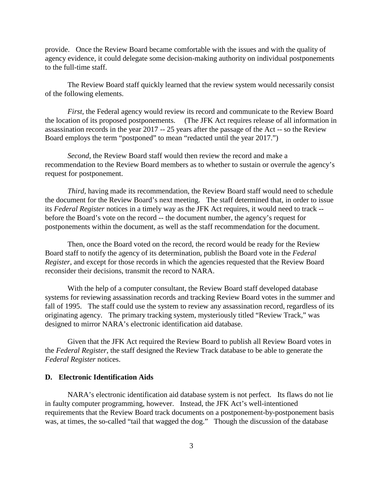provide. Once the Review Board became comfortable with the issues and with the quality of agency evidence, it could delegate some decision-making authority on individual postponements to the full-time staff.

The Review Board staff quickly learned that the review system would necessarily consist of the following elements.

*First,* the Federal agency would review its record and communicate to the Review Board the location of its proposed postponements. (The JFK Act requires release of all information in assassination records in the year 2017 -- 25 years after the passage of the Act -- so the Review Board employs the term "postponed" to mean "redacted until the year 2017.")

*Second,* the Review Board staff would then review the record and make a recommendation to the Review Board members as to whether to sustain or overrule the agency's request for postponement.

*Third,* having made its recommendation, the Review Board staff would need to schedule the document for the Review Board's next meeting. The staff determined that, in order to issue its *Federal Register* notices in a timely way as the JFK Act requires, it would need to track - before the Board's vote on the record -- the document number, the agency's request for postponements within the document, as well as the staff recommendation for the document.

Then, once the Board voted on the record, the record would be ready for the Review Board staff to notify the agency of its determination, publish the Board vote in the *Federal Register*, and except for those records in which the agencies requested that the Review Board reconsider their decisions, transmit the record to NARA.

With the help of a computer consultant, the Review Board staff developed database systems for reviewing assassination records and tracking Review Board votes in the summer and fall of 1995. The staff could use the system to review any assassination record, regardless of its originating agency. The primary tracking system, mysteriously titled "Review Track," was designed to mirror NARA's electronic identification aid database.

Given that the JFK Act required the Review Board to publish all Review Board votes in the *Federal Register*, the staff designed the Review Track database to be able to generate the *Federal Register* notices.

### **D. Electronic Identification Aids**

NARA's electronic identification aid database system is not perfect. Its flaws do not lie in faulty computer programming, however. Instead, the JFK Act's well-intentioned requirements that the Review Board track documents on a postponement-by-postponement basis was, at times, the so-called "tail that wagged the dog." Though the discussion of the database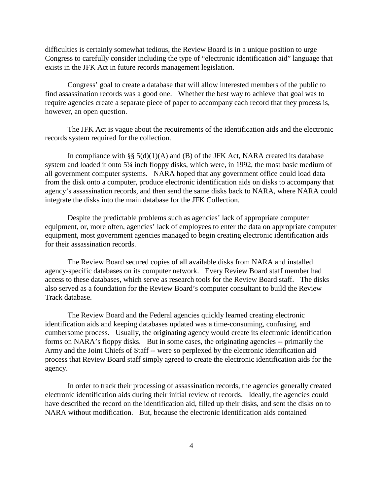difficulties is certainly somewhat tedious, the Review Board is in a unique position to urge Congress to carefully consider including the type of "electronic identification aid" language that exists in the JFK Act in future records management legislation.

Congress' goal to create a database that will allow interested members of the public to find assassination records was a good one. Whether the best way to achieve that goal was to require agencies create a separate piece of paper to accompany each record that they process is, however, an open question.

The JFK Act is vague about the requirements of the identification aids and the electronic records system required for the collection.

In compliance with §§  $5(d)(1)(A)$  and (B) of the JFK Act, NARA created its database system and loaded it onto 5¼ inch floppy disks, which were, in 1992, the most basic medium of all government computer systems. NARA hoped that any government office could load data from the disk onto a computer, produce electronic identification aids on disks to accompany that agency's assassination records, and then send the same disks back to NARA, where NARA could integrate the disks into the main database for the JFK Collection.

Despite the predictable problems such as agencies' lack of appropriate computer equipment, or, more often, agencies' lack of employees to enter the data on appropriate computer equipment, most government agencies managed to begin creating electronic identification aids for their assassination records.

The Review Board secured copies of all available disks from NARA and installed agency-specific databases on its computer network. Every Review Board staff member had access to these databases, which serve as research tools for the Review Board staff. The disks also served as a foundation for the Review Board's computer consultant to build the Review Track database.

The Review Board and the Federal agencies quickly learned creating electronic identification aids and keeping databases updated was a time-consuming, confusing, and cumbersome process. Usually, the originating agency would create its electronic identification forms on NARA's floppy disks. But in some cases, the originating agencies -- primarily the Army and the Joint Chiefs of Staff -- were so perplexed by the electronic identification aid process that Review Board staff simply agreed to create the electronic identification aids for the agency.

In order to track their processing of assassination records, the agencies generally created electronic identification aids during their initial review of records. Ideally, the agencies could have described the record on the identification aid, filled up their disks, and sent the disks on to NARA without modification. But, because the electronic identification aids contained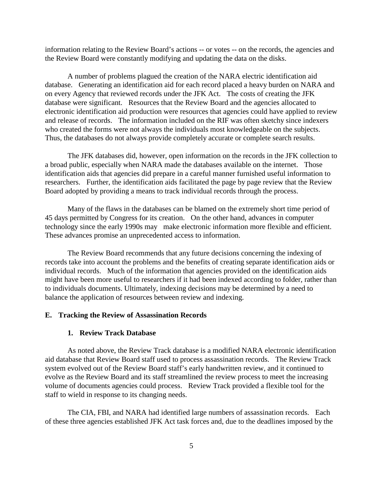information relating to the Review Board's actions -- or votes -- on the records, the agencies and the Review Board were constantly modifying and updating the data on the disks.

A number of problems plagued the creation of the NARA electric identification aid database. Generating an identification aid for each record placed a heavy burden on NARA and on every Agency that reviewed records under the JFK Act. The costs of creating the JFK database were significant. Resources that the Review Board and the agencies allocated to electronic identification aid production were resources that agencies could have applied to review and release of records. The information included on the RIF was often sketchy since indexers who created the forms were not always the individuals most knowledgeable on the subjects. Thus, the databases do not always provide completely accurate or complete search results.

The JFK databases did, however, open information on the records in the JFK collection to a broad public, especially when NARA made the databases available on the internet. Those identification aids that agencies did prepare in a careful manner furnished useful information to researchers. Further, the identification aids facilitated the page by page review that the Review Board adopted by providing a means to track individual records through the process.

Many of the flaws in the databases can be blamed on the extremely short time period of 45 days permitted by Congress for its creation. On the other hand, advances in computer technology since the early 1990s may make electronic information more flexible and efficient. These advances promise an unprecedented access to information.

The Review Board recommends that any future decisions concerning the indexing of records take into account the problems and the benefits of creating separate identification aids or individual records. Much of the information that agencies provided on the identification aids might have been more useful to researchers if it had been indexed according to folder, rather than to individuals documents. Ultimately, indexing decisions may be determined by a need to balance the application of resources between review and indexing.

### **E. Tracking the Review of Assassination Records**

#### **1. Review Track Database**

As noted above, the Review Track database is a modified NARA electronic identification aid database that Review Board staff used to process assassination records. The Review Track system evolved out of the Review Board staff's early handwritten review, and it continued to evolve as the Review Board and its staff streamlined the review process to meet the increasing volume of documents agencies could process. Review Track provided a flexible tool for the staff to wield in response to its changing needs.

The CIA, FBI, and NARA had identified large numbers of assassination records. Each of these three agencies established JFK Act task forces and, due to the deadlines imposed by the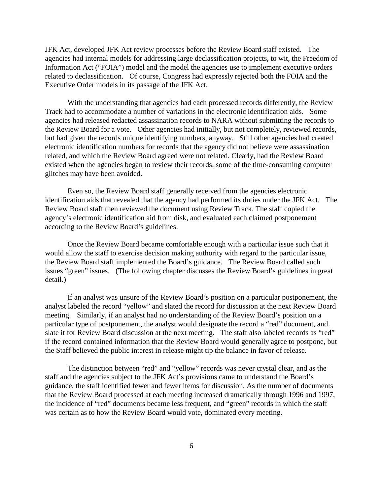JFK Act, developed JFK Act review processes before the Review Board staff existed. The agencies had internal models for addressing large declassification projects, to wit, the Freedom of Information Act ("FOIA") model and the model the agencies use to implement executive orders related to declassification. Of course, Congress had expressly rejected both the FOIA and the Executive Order models in its passage of the JFK Act.

With the understanding that agencies had each processed records differently, the Review Track had to accommodate a number of variations in the electronic identification aids. Some agencies had released redacted assassination records to NARA without submitting the records to the Review Board for a vote. Other agencies had initially, but not completely, reviewed records, but had given the records unique identifying numbers, anyway. Still other agencies had created electronic identification numbers for records that the agency did not believe were assassination related, and which the Review Board agreed were not related. Clearly, had the Review Board existed when the agencies began to review their records, some of the time-consuming computer glitches may have been avoided.

Even so, the Review Board staff generally received from the agencies electronic identification aids that revealed that the agency had performed its duties under the JFK Act. The Review Board staff then reviewed the document using Review Track. The staff copied the agency's electronic identification aid from disk, and evaluated each claimed postponement according to the Review Board's guidelines.

Once the Review Board became comfortable enough with a particular issue such that it would allow the staff to exercise decision making authority with regard to the particular issue, the Review Board staff implemented the Board's guidance. The Review Board called such issues "green" issues. (The following chapter discusses the Review Board's guidelines in great detail.)

If an analyst was unsure of the Review Board's position on a particular postponement, the analyst labeled the record "yellow" and slated the record for discussion at the next Review Board meeting. Similarly, if an analyst had no understanding of the Review Board's position on a particular type of postponement, the analyst would designate the record a "red" document, and slate it for Review Board discussion at the next meeting. The staff also labeled records as "red" if the record contained information that the Review Board would generally agree to postpone, but the Staff believed the public interest in release might tip the balance in favor of release.

The distinction between "red" and "yellow" records was never crystal clear, and as the staff and the agencies subject to the JFK Act's provisions came to understand the Board's guidance, the staff identified fewer and fewer items for discussion. As the number of documents that the Review Board processed at each meeting increased dramatically through 1996 and 1997, the incidence of "red" documents became less frequent, and "green" records in which the staff was certain as to how the Review Board would vote, dominated every meeting.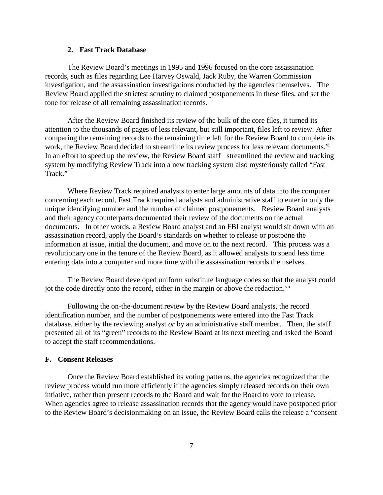# **2. Fast Track Database**

The Review Board's meetings in 1995 and 1996 focused on the core assassination records, such as files regarding Lee Harvey Oswald, Jack Ruby, the Warren Commission investigation, and the assassination investigations conducted by the agencies themselves. The Review Board applied the strictest scrutiny to claimed postponements in these files, and set the tone for release of all remaining assassination records.

After the Review Board finished its review of the bulk of the core files, it turned its attention to the thousands of pages of less relevant, but still important, files left to review. After comparing the remaining records to the remaining time left for the Review Board to complete its work, the Re[vi](#page-12-5)ew Board decided to streamline its review process for less relevant documents.<sup>vi</sup> In an effort to speed up the review, the Review Board staff streamlined the review and tracking system by modifying Review Track into a new tracking system also mysteriously called "Fast Track."

Where Review Track required analysts to enter large amounts of data into the computer concerning each record, Fast Track required analysts and administrative staff to enter in only the unique identifying number and the number of claimed postponements. Review Board analysts and their agency counterparts documented their review of the documents on the actual documents. In other words, a Review Board analyst and an FBI analyst would sit down with an assassination record, apply the Board's standards on whether to release or postpone the information at issue, initial the document, and move on to the next record. This process was a revolutionary one in the tenure of the Review Board, as it allowed analysts to spend less time entering data into a computer and more time with the assassination records themselves.

The Review Board developed uniform substitute language codes so that the analyst could jot the code directly onto the record, either in the margin or above the redaction.<sup>[vii](#page-12-6)</sup>

Following the on-the-document review by the Review Board analysts, the record identification number, and the number of postponements were entered into the Fast Track database, either by the reviewing analyst *or* by an administrative staff member. Then, the staff presented all of its "green" records to the Review Board at its next meeting and asked the Board to accept the staff recommendations.

# **F. Consent Releases**

Once the Review Board established its voting patterns, the agencies recognized that the review process would run more efficiently if the agencies simply released records on their own intiative, rather than present records to the Board and wait for the Board to vote to release. When agencies agree to release assassination records that the agency would have postponed prior to the Review Board's decisionmaking on an issue, the Review Board calls the release a "consent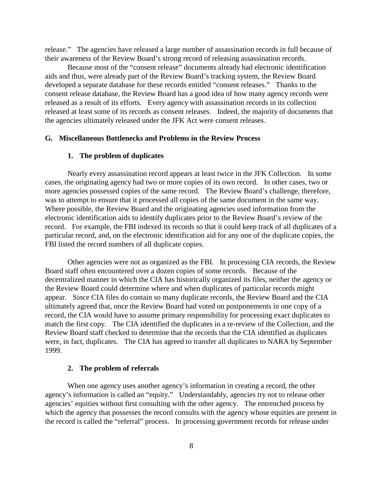release." The agencies have released a large number of assassination records in full because of their awareness of the Review Board's strong record of releasing assassination records.

Because most of the "consent release" documents already had electronic identification aids and thus, were already part of the Review Board's tracking system, the Review Board developed a separate database for these records entitled "consent releases." Thanks to the consent release database, the Review Board has a good idea of how many agency records were released as a result of its efforts. Every agency with assassination records in its collection released at least some of its records as consent releases. Indeed, the majority of documents that the agencies ultimately released under the JFK Act were consent releases.

# **G. Miscellaneous Bottlenecks and Problems in the Review Process**

# **1. The problem of duplicates**

Nearly every assassination record appears at least twice in the JFK Collection. In some cases, the originating agency had two or more copies of its own record. In other cases, two or more agencies possessed copies of the same record. The Review Board's challenge, therefore, was to attempt to ensure that it processed all copies of the same document in the same way. Where possible, the Review Board and the originating agencies used information from the electronic identification aids to identify duplicates prior to the Review Board's review of the record. For example, the FBI indexed its records so that it could keep track of all duplicates of a particular record, and, on the electronic identification aid for any one of the duplicate copies, the FBI listed the record numbers of all duplicate copies.

Other agencies were not as organized as the FBI. In processing CIA records, the Review Board staff often encountered over a dozen copies of some records. Because of the decentralized manner in which the CIA has historically organized its files, neither the agency or the Review Board could determine where and when duplicates of particular records might appear. Since CIA files do contain so many duplicate records, the Review Board and the CIA ultimately agreed that, once the Review Board had voted on postponements in one copy of a record, the CIA would have to assume primary responsibility for processing exact duplicates to match the first copy. The CIA identified the duplicates in a re-review of the Collection, and the Review Board staff checked to determine that the records that the CIA identified as duplicates were, in fact, duplicates. The CIA has agreed to transfer all duplicates to NARA by September 1999.

#### **2. The problem of referrals**

When one agency uses another agency's information in creating a record, the other agency's information is called an "equity." Understandably, agencies try not to release other agencies' equities without first consulting with the other agency. The entrenched process by which the agency that possesses the record consults with the agency whose equities are present in the record is called the "referral" process. In processing government records for release under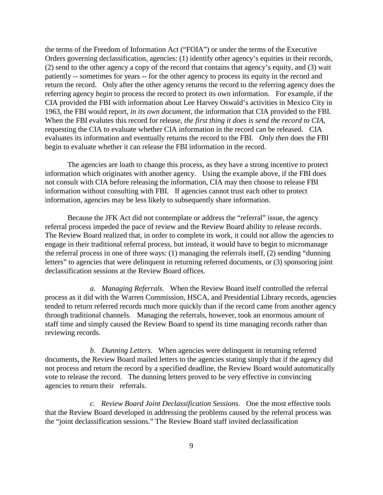the terms of the Freedom of Information Act ("FOIA") or under the terms of the Executive Orders governing declassification, agencies: (1) identify other agency's equities in their records, (2) send to the other agency a copy of the record that contains that agency's equity, and (3) wait patiently -- sometimes for years -- for the other agency to process its equity in the record and return the record. Only after the other agency returns the record to the referring agency does the referring agency *begin* to process the record to protect its own information. For example, if the CIA provided the FBI with information about Lee Harvey Oswald's activities in Mexico City in 1963, the FBI would report, *in its own document,* the information that CIA provided to the FBI. When the FBI evalutes this record for release, *the first thing it does is send the record to CIA,* requesting the CIA to evaluate whether CIA information in the record can be released. CIA evaluates its information and eventually returns the record to the FBI. *Only then* does the FBI begin to evaluate whether it can release the FBI information in the record.

The agencies are loath to change this process, as they have a strong incentive to protect information which originates with another agency. Using the example above, if the FBI does not consult with CIA before releasing the information, CIA may then choose to release FBI information without consulting with FBI. If agencies cannot trust each other to protect information, agencies may be less likely to subsequently share information.

Because the JFK Act did not contemplate or address the "referral" issue, the agency referral process impeded the pace of review and the Review Board ability to release records. The Review Board realized that, in order to complete its work, it could not allow the agencies to engage in their traditional referral process, but instead, it would have to begin to micromanage the referral process in one of three ways: (1) managing the referrals itself, (2) sending "dunning letters" to agencies that were delinquent in returning referred documents, or (3) sponsoring joint declassification sessions at the Review Board offices.

*a. Managing Referrals.* When the Review Board itself controlled the referral process as it did with the Warren Commission, HSCA, and Presidential Library records, agencies tended to return referred records much more quickly than if the record came from another agency through traditional channels. Managing the referrals, however, took an enormous amount of staff time and simply caused the Review Board to spend its time managing records rather than reviewing records.

*b. Dunning Letters.* When agencies were delinquent in returning referred documents, the Review Board mailed letters to the agencies stating simply that if the agency did not process and return the record by a specified deadline, the Review Board would automatically vote to release the record. The dunning letters proved to be very effective in convincing agencies to return their referrals.

*c. Review Board Joint Declassification Sessions.* One the most effective tools that the Review Board developed in addressing the problems caused by the referral process was the "joint declassification sessions." The Review Board staff invited declassification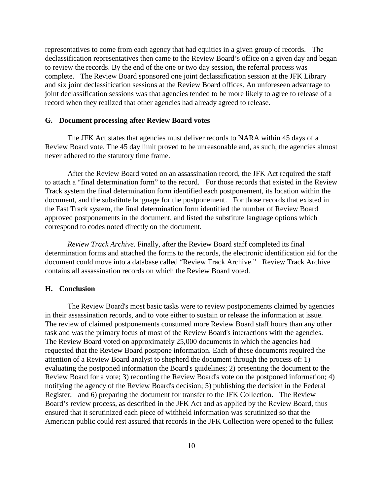representatives to come from each agency that had equities in a given group of records. The declassification representatives then came to the Review Board's office on a given day and began to review the records. By the end of the one or two day session, the referral process was complete. The Review Board sponsored one joint declassification session at the JFK Library and six joint declassification sessions at the Review Board offices. An unforeseen advantage to joint declassification sessions was that agencies tended to be more likely to agree to release of a record when they realized that other agencies had already agreed to release.

### **G. Document processing after Review Board votes**

The JFK Act states that agencies must deliver records to NARA within 45 days of a Review Board vote. The 45 day limit proved to be unreasonable and, as such, the agencies almost never adhered to the statutory time frame.

After the Review Board voted on an assassination record, the JFK Act required the staff to attach a "final determination form" to the record. For those records that existed in the Review Track system the final determination form identified each postponement, its location within the document, and the substitute language for the postponement. For those records that existed in the Fast Track system, the final determination form identified the number of Review Board approved postponements in the document, and listed the substitute language options which correspond to codes noted directly on the document.

*Review Track Archive.* Finally, after the Review Board staff completed its final determination forms and attached the forms to the records, the electronic identification aid for the document could move into a database called "Review Track Archive." Review Track Archive contains all assassination records on which the Review Board voted.

#### **H. Conclusion**

The Review Board's most basic tasks were to review postponements claimed by agencies in their assassination records, and to vote either to sustain or release the information at issue. The review of claimed postponements consumed more Review Board staff hours than any other task and was the primary focus of most of the Review Board's interactions with the agencies. The Review Board voted on approximately 25,000 documents in which the agencies had requested that the Review Board postpone information. Each of these documents required the attention of a Review Board analyst to shepherd the document through the process of: 1) evaluating the postponed information the Board's guidelines; 2) presenting the document to the Review Board for a vote; 3) recording the Review Board's vote on the postponed information; 4) notifying the agency of the Review Board's decision; 5) publishing the decision in the Federal Register; and 6) preparing the document for transfer to the JFK Collection. The Review Board's review process, as described in the JFK Act and as applied by the Review Board, thus ensured that it scrutinized each piece of withheld information was scrutinized so that the American public could rest assured that records in the JFK Collection were opened to the fullest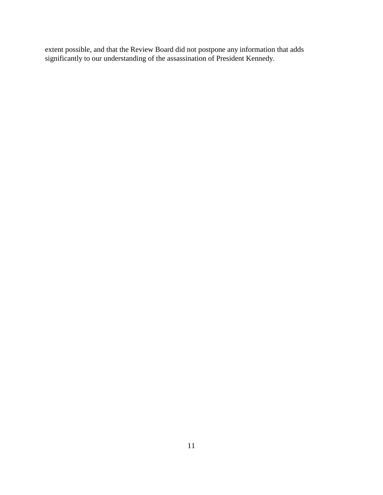extent possible, and that the Review Board did not postpone any information that adds significantly to our understanding of the assassination of President Kennedy.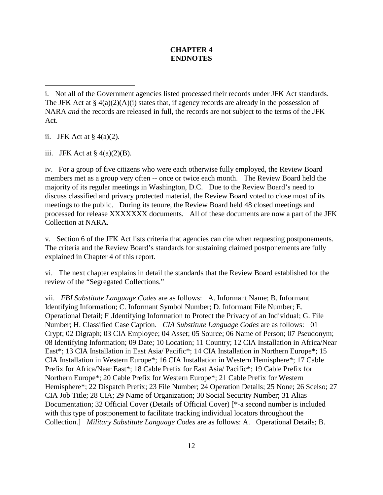# **CHAPTER 4 ENDNOTES**

ii. JFK Act at  $\S$  4(a)(2).

 $\overline{a}$ 

iii. JFK Act at  $\S$  4(a)(2)(B).

iv. For a group of five citizens who were each otherwise fully employed, the Review Board members met as a group very often -- once or twice each month. The Review Board held the majority of its regular meetings in Washington, D.C. Due to the Review Board's need to discuss classified and privacy protected material, the Review Board voted to close most of its meetings to the public. During its tenure, the Review Board held 48 closed meetings and processed for release XXXXXXX documents. All of these documents are now a part of the JFK Collection at NARA.

v. Section 6 of the JFK Act lists criteria that agencies can cite when requesting postponements. The criteria and the Review Board's standards for sustaining claimed postponements are fully explained in Chapter 4 of this report.

vi. The next chapter explains in detail the standards that the Review Board established for the review of the "Segregated Collections."

vii. *FBI Substitute Language Codes* are as follows: A. Informant Name; B. Informant Identifying Information; C. Informant Symbol Number; D. Informant File Number; E. Operational Detail; F .Identifying Information to Protect the Privacy of an Individual; G. File Number; H. Classified Case Caption. *CIA Substitute Language Codes* are as follows: 01 Crypt; 02 Digraph; 03 CIA Employee; 04 Asset; 05 Source; 06 Name of Person; 07 Pseudonym; 08 Identifying Information; 09 Date; 10 Location; 11 Country; 12 CIA Installation in Africa/Near East\*; 13 CIA Installation in East Asia/ Pacific\*; 14 CIA Installation in Northern Europe\*; 15 CIA Installation in Western Europe\*; 16 CIA Installation in Western Hemisphere\*; 17 Cable Prefix for Africa/Near East\*; 18 Cable Prefix for East Asia/ Pacific\*; 19 Cable Prefix for Northern Europe\*; 20 Cable Prefix for Western Europe\*; 21 Cable Prefix for Western Hemisphere\*; 22 Dispatch Prefix; 23 File Number; 24 Operation Details; 25 None; 26 Scelso; 27 CIA Job Title; 28 CIA; 29 Name of Organization; 30 Social Security Number; 31 Alias Documentation; 32 Official Cover (Details of Official Cover) [\*-a second number is included with this type of postponement to facilitate tracking individual locators throughout the Collection.] *Military Substitute Language Codes* are as follows: A. Operational Details; B.

i. Not all of the Government agencies listed processed their records under JFK Act standards. The JFK Act at  $\S 4(a)(2)(A)(i)$  states that, if agency records are already in the possession of NARA *and* the records are released in full, the records are not subject to the terms of the JFK Act.